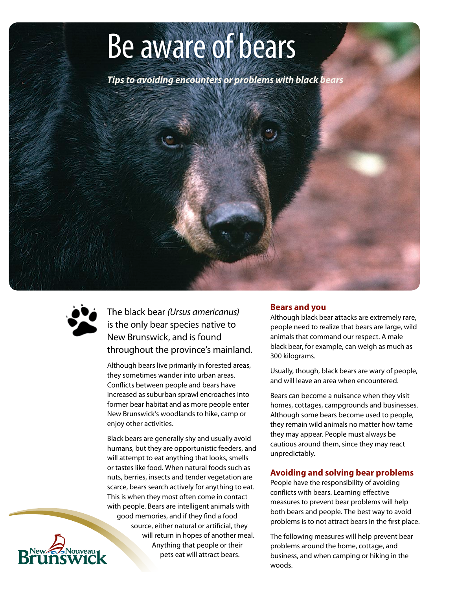# Be aware of bears

*Tips to avoiding encounters or problems with black bears*



The black bear *(Ursus americanus)* is the only bear species native to New Brunswick, and is found throughout the province's mainland.

Although bears live primarily in forested areas, they sometimes wander into urban areas. Conflicts between people and bears have increased as suburban sprawl encroaches into former bear habitat and as more people enter New Brunswick's woodlands to hike, camp or enjoy other activities.

Black bears are generally shy and usually avoid humans, but they are opportunistic feeders, and will attempt to eat anything that looks, smells or tastes like food. When natural foods such as nuts, berries, insects and tender vegetation are scarce, bears search actively for anything to eat. This is when they most often come in contact with people. Bears are intelligent animals with good memories, and if they find a food source, either natural or artificial, they will return in hopes of another meal. Anything that people or their pets eat will attract bears.

# **Bears and you**

Although black bear attacks are extremely rare, people need to realize that bears are large, wild animals that command our respect. A male black bear, for example, can weigh as much as 300 kilograms.

Usually, though, black bears are wary of people, and will leave an area when encountered.

Bears can become a nuisance when they visit homes, cottages, campgrounds and businesses. Although some bears become used to people, they remain wild animals no matter how tame they may appear. People must always be cautious around them, since they may react unpredictably.

## **Avoiding and solving bear problems**

People have the responsibility of avoiding conflicts with bears. Learning effective measures to prevent bear problems will help both bears and people. The best way to avoid problems is to not attract bears in the first place.

The following measures will help prevent bear problems around the home, cottage, and business, and when camping or hiking in the woods.

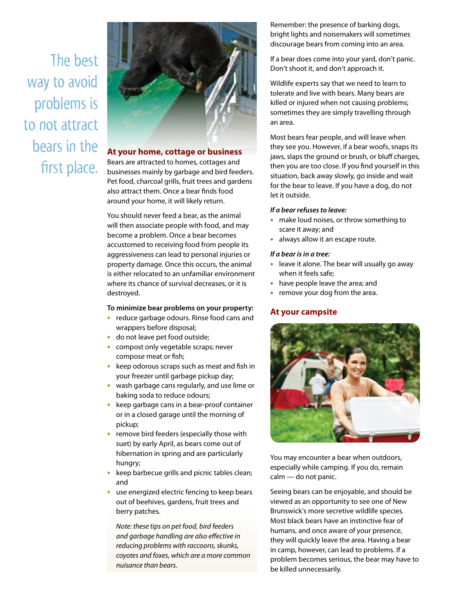The best way to avoid problems is to not attract bears in the first place.



# **At your home, cottage or business**

Bears are attracted to homes, cottages and businesses mainly by garbage and bird feeders. Pet food, charcoal grills, fruit trees and gardens also attract them. Once a bear finds food around your home, it will likely return.

You should never feed a bear, as the animal will then associate people with food, and may become a problem. Once a bear becomes accustomed to receiving food from people its aggressiveness can lead to personal injuries or property damage. Once this occurs, the animal is either relocated to an unfamiliar environment where its chance of survival decreases, or it is destroyed.

#### **To minimize bear problems on your property:**

- reduce garbage odours. Rinse food cans and wrappers before disposal;
- do not leave pet food outside;
- compost only vegetable scraps; never compose meat or fish;
- keep odorous scraps such as meat and fish in your freezer until garbage pickup day;
- wash garbage cans regularly, and use lime or baking soda to reduce odours;
- keep garbage cans in a bear-proof container or in a closed garage until the morning of pickup;
- remove bird feeders (especially those with suet) by early April, as bears come out of hibernation in spring and are particularly hungry;
- keep barbecue grills and picnic tables clean; and
- use energized electric fencing to keep bears out of beehives, gardens, fruit trees and berry patches.

*Note: these tips on pet food, bird feeders and garbage handling are also effective in reducing problems with raccoons, skunks, coyotes and foxes, which are a more common nuisance than bears.* 

Remember: the presence of barking dogs, bright lights and noisemakers will sometimes discourage bears from coming into an area.

If a bear does come into your yard, don't panic. Don't shoot it, and don't approach it.

Wildlife experts say that we need to learn to tolerate and live with bears. Many bears are killed or injured when not causing problems; sometimes they are simply travelling through an area.

Most bears fear people, and will leave when they see you. However, if a bear woofs, snaps its jaws, slaps the ground or brush, or bluff charges, then you are too close. If you find yourself in this situation, back away slowly, go inside and wait for the bear to leave. If you have a dog, do not let it outside.

#### *If a bear refuses to leave:*

- make loud noises, or throw something to scare it away; and
- always allow it an escape route.

#### *If a bear is in a tree:*

- leave it alone. The bear will usually go away when it feels safe;
- have people leave the area; and
- remove your dog from the area.

#### **At your campsite**



You may encounter a bear when outdoors, especially while camping. If you do, remain calm — do not panic.

Seeing bears can be enjoyable, and should be viewed as an opportunity to see one of New Brunswick's more secretive wildlife species. Most black bears have an instinctive fear of humans, and once aware of your presence, they will quickly leave the area. Having a bear in camp, however, can lead to problems. If a problem becomes serious, the bear may have to be killed unnecessarily.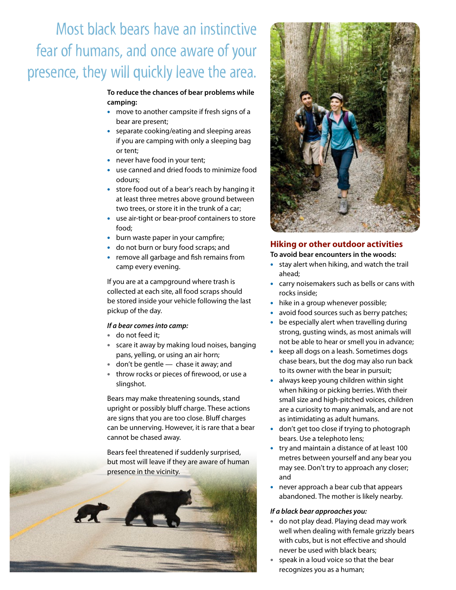# Most black bears have an instinctive fear of humans, and once aware of your presence, they will quickly leave the area.

#### **To reduce the chances of bear problems while camping:**

- move to another campsite if fresh signs of a bear are present;
- separate cooking/eating and sleeping areas if you are camping with only a sleeping bag or tent;
- never have food in your tent;
- use canned and dried foods to minimize food odours;
- store food out of a bear's reach by hanging it at least three metres above ground between two trees, or store it in the trunk of a car;
- use air-tight or bear-proof containers to store food;
- burn waste paper in your campfire;
- do not burn or bury food scraps; and
- remove all garbage and fish remains from camp every evening.

If you are at a campground where trash is collected at each site, all food scraps should be stored inside your vehicle following the last pickup of the day.

#### *If a bear comes into camp:*

- do not feed it;
- scare it away by making loud noises, banging pans, yelling, or using an air horn;
- don't be gentle chase it away; and
- throw rocks or pieces of firewood, or use a slingshot.

Bears may make threatening sounds, stand upright or possibly bluff charge. These actions are signs that you are too close. Bluff charges can be unnerving. However, it is rare that a bear cannot be chased away.

Bears feel threatened if suddenly surprised, but most will leave if they are aware of human presence in the vicinity.





## **Hiking or other outdoor activities**

**To avoid bear encounters in the woods:**

- stay alert when hiking, and watch the trail ahead;
- carry noisemakers such as bells or cans with rocks inside;
- hike in a group whenever possible;
- avoid food sources such as berry patches;
- be especially alert when travelling during strong, gusting winds, as most animals will not be able to hear or smell you in advance;
- keep all dogs on a leash. Sometimes dogs chase bears, but the dog may also run back to its owner with the bear in pursuit;
- always keep young children within sight when hiking or picking berries. With their small size and high-pitched voices, children are a curiosity to many animals, and are not as intimidating as adult humans.
- don't get too close if trying to photograph bears. Use a telephoto lens;
- try and maintain a distance of at least 100 metres between yourself and any bear you may see. Don't try to approach any closer; and
- never approach a bear cub that appears abandoned. The mother is likely nearby.

#### *If a black bear approaches you:*

- do not play dead. Playing dead may work well when dealing with female grizzly bears with cubs, but is not effective and should never be used with black bears;
- speak in a loud voice so that the bear recognizes you as a human;